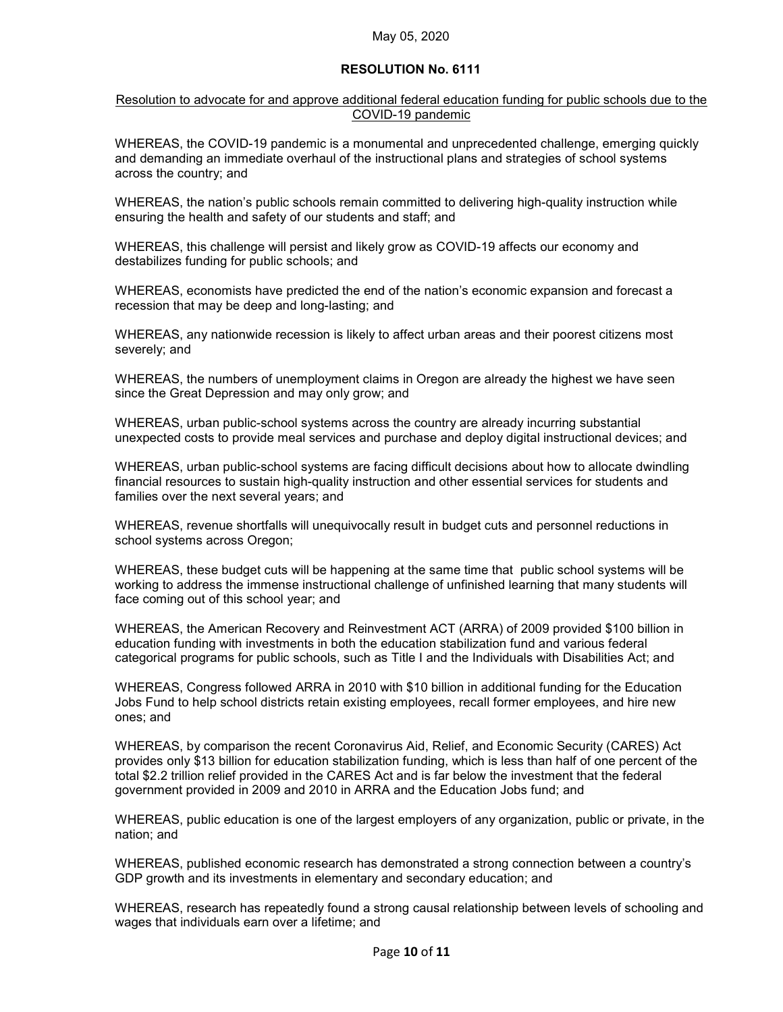## **RESOLUTION No. 6111**

## Resolution to advocate for and approve additional federal education funding for public schools due to the COVID-19 pandemic

WHEREAS, the COVID-19 pandemic is a monumental and unprecedented challenge, emerging quickly and demanding an immediate overhaul of the instructional plans and strategies of school systems across the country; and

WHEREAS, the nation's public schools remain committed to delivering high-quality instruction while ensuring the health and safety of our students and staff; and

WHEREAS, this challenge will persist and likely grow as COVID-19 affects our economy and destabilizes funding for public schools; and

WHEREAS, economists have predicted the end of the nation's economic expansion and forecast a recession that may be deep and long-lasting; and

WHEREAS, any nationwide recession is likely to affect urban areas and their poorest citizens most severely; and

WHEREAS, the numbers of unemployment claims in Oregon are already the highest we have seen since the Great Depression and may only grow; and

WHEREAS, urban public-school systems across the country are already incurring substantial unexpected costs to provide meal services and purchase and deploy digital instructional devices; and

WHEREAS, urban public-school systems are facing difficult decisions about how to allocate dwindling financial resources to sustain high-quality instruction and other essential services for students and families over the next several years; and

WHEREAS, revenue shortfalls will unequivocally result in budget cuts and personnel reductions in school systems across Oregon;

WHEREAS, these budget cuts will be happening at the same time that public school systems will be working to address the immense instructional challenge of unfinished learning that many students will face coming out of this school year; and

WHEREAS, the American Recovery and Reinvestment ACT (ARRA) of 2009 provided \$100 billion in education funding with investments in both the education stabilization fund and various federal categorical programs for public schools, such as Title I and the Individuals with Disabilities Act; and

WHEREAS, Congress followed ARRA in 2010 with \$10 billion in additional funding for the Education Jobs Fund to help school districts retain existing employees, recall former employees, and hire new ones; and

WHEREAS, by comparison the recent Coronavirus Aid, Relief, and Economic Security (CARES) Act provides only \$13 billion for education stabilization funding, which is less than half of one percent of the total \$2.2 trillion relief provided in the CARES Act and is far below the investment that the federal government provided in 2009 and 2010 in ARRA and the Education Jobs fund; and

WHEREAS, public education is one of the largest employers of any organization, public or private, in the nation; and

WHEREAS, published economic research has demonstrated a strong connection between a country's GDP growth and its investments in elementary and secondary education; and

WHEREAS, research has repeatedly found a strong causal relationship between levels of schooling and wages that individuals earn over a lifetime; and